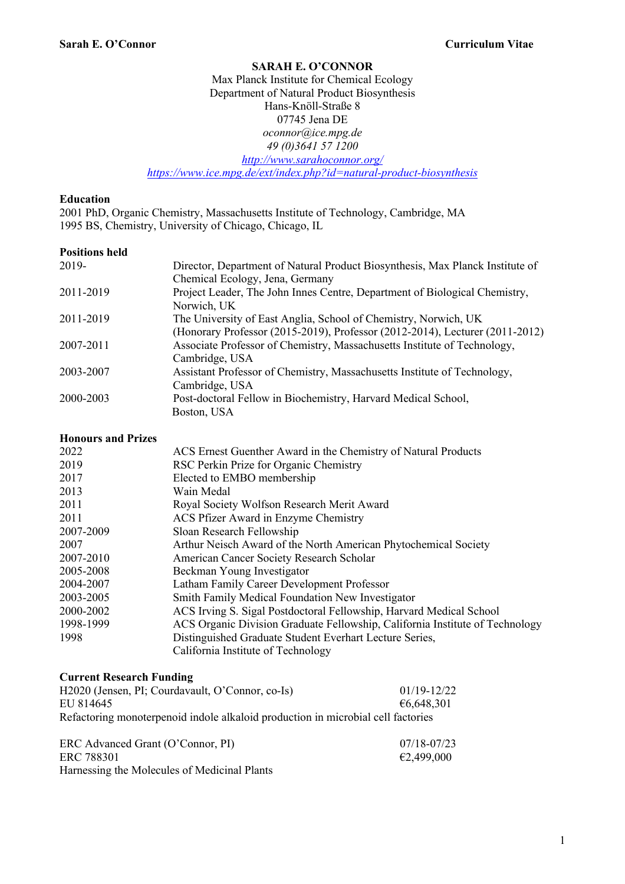#### **SARAH E. O'CONNOR**

#### Max Planck Institute for Chemical Ecology Department of Natural Product Biosynthesis Hans-Knöll-Straße 8 07745 Jena DE *oconnor@ice.mpg.de 49 (0)3641 57 1200 http://www.sarahoconnor.org/ https://www.ice.mpg.de/ext/index.php?id=natural-product-biosynthesis*

#### **Education**

2001 PhD, Organic Chemistry, Massachusetts Institute of Technology, Cambridge, MA 1995 BS, Chemistry, University of Chicago, Chicago, IL

#### **Positions held**

| 2019-     | Director, Department of Natural Product Biosynthesis, Max Planck Institute of |
|-----------|-------------------------------------------------------------------------------|
|           | Chemical Ecology, Jena, Germany                                               |
| 2011-2019 | Project Leader, The John Innes Centre, Department of Biological Chemistry,    |
|           | Norwich, UK                                                                   |
| 2011-2019 | The University of East Anglia, School of Chemistry, Norwich, UK               |
|           | (Honorary Professor (2015-2019), Professor (2012-2014), Lecturer (2011-2012)  |
| 2007-2011 | Associate Professor of Chemistry, Massachusetts Institute of Technology,      |
|           | Cambridge, USA                                                                |
| 2003-2007 | Assistant Professor of Chemistry, Massachusetts Institute of Technology,      |
|           | Cambridge, USA                                                                |
| 2000-2003 | Post-doctoral Fellow in Biochemistry, Harvard Medical School,                 |
|           | Boston, USA                                                                   |

#### **Honours and Prizes**

| 2022      | ACS Ernest Guenther Award in the Chemistry of Natural Products               |
|-----------|------------------------------------------------------------------------------|
| 2019      | RSC Perkin Prize for Organic Chemistry                                       |
| 2017      | Elected to EMBO membership                                                   |
| 2013      | Wain Medal                                                                   |
| 2011      | Royal Society Wolfson Research Merit Award                                   |
| 2011      | ACS Pfizer Award in Enzyme Chemistry                                         |
| 2007-2009 | Sloan Research Fellowship                                                    |
| 2007      | Arthur Neisch Award of the North American Phytochemical Society              |
| 2007-2010 | American Cancer Society Research Scholar                                     |
| 2005-2008 | Beckman Young Investigator                                                   |
| 2004-2007 | Latham Family Career Development Professor                                   |
| 2003-2005 | Smith Family Medical Foundation New Investigator                             |
| 2000-2002 | ACS Irving S. Sigal Postdoctoral Fellowship, Harvard Medical School          |
| 1998-1999 | ACS Organic Division Graduate Fellowship, California Institute of Technology |
| 1998      | Distinguished Graduate Student Everhart Lecture Series,                      |
|           | California Institute of Technology                                           |

#### **Current Research Funding**

| H2020 (Jensen, PI; Courdavault, O'Connor, co-Is)                                 | $01/19 - 12/22$ |
|----------------------------------------------------------------------------------|-----------------|
| EU 814645                                                                        | €6,648,301      |
| Refactoring monoterpenoid indole alkaloid production in microbial cell factories |                 |

| ERC Advanced Grant (O'Connor, PI)            | $07/18 - 07/23$ |
|----------------------------------------------|-----------------|
| ERC 788301                                   | €2,499,000      |
| Harnessing the Molecules of Medicinal Plants |                 |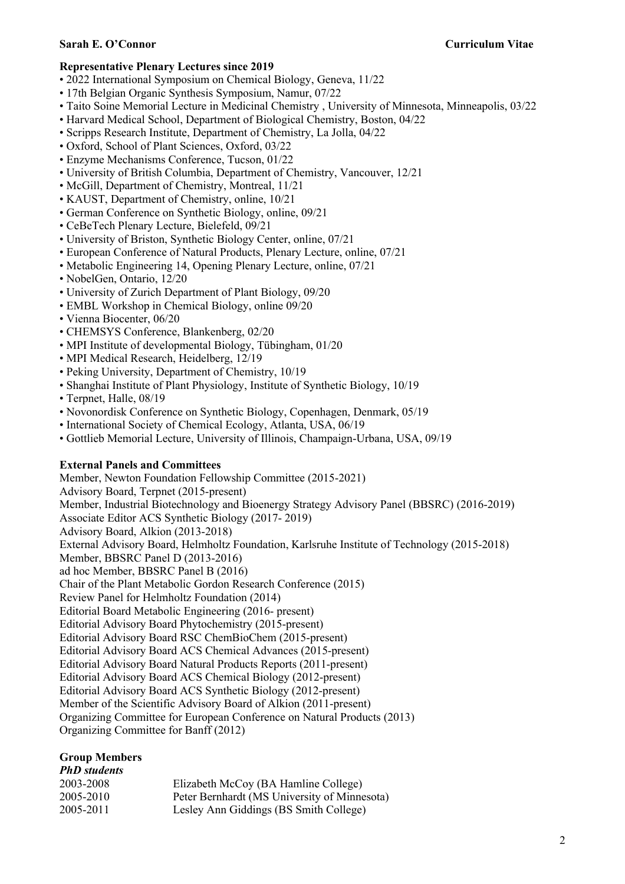#### **Sarah E. O'Connor Curriculum Vitae**

#### **Representative Plenary Lectures since 2019**

- 2022 International Symposium on Chemical Biology, Geneva, 11/22
- 17th Belgian Organic Synthesis Symposium, Namur, 07/22
- Taito Soine Memorial Lecture in Medicinal Chemistry , University of Minnesota, Minneapolis, 03/22
- Harvard Medical School, Department of Biological Chemistry, Boston, 04/22
- Scripps Research Institute, Department of Chemistry, La Jolla, 04/22
- Oxford, School of Plant Sciences, Oxford, 03/22
- Enzyme Mechanisms Conference, Tucson, 01/22
- University of British Columbia, Department of Chemistry, Vancouver, 12/21
- McGill, Department of Chemistry, Montreal, 11/21
- KAUST, Department of Chemistry, online, 10/21
- German Conference on Synthetic Biology, online, 09/21
- CeBeTech Plenary Lecture, Bielefeld, 09/21
- University of Briston, Synthetic Biology Center, online, 07/21
- European Conference of Natural Products, Plenary Lecture, online, 07/21
- Metabolic Engineering 14, Opening Plenary Lecture, online, 07/21
- NobelGen, Ontario, 12/20
- University of Zurich Department of Plant Biology, 09/20
- EMBL Workshop in Chemical Biology, online 09/20
- Vienna Biocenter, 06/20
- CHEMSYS Conference, Blankenberg, 02/20
- MPI Institute of developmental Biology, Tübingham, 01/20
- MPI Medical Research, Heidelberg, 12/19
- Peking University, Department of Chemistry, 10/19
- Shanghai Institute of Plant Physiology, Institute of Synthetic Biology, 10/19
- Terpnet, Halle, 08/19
- Novonordisk Conference on Synthetic Biology, Copenhagen, Denmark, 05/19
- International Society of Chemical Ecology, Atlanta, USA, 06/19
- Gottlieb Memorial Lecture, University of Illinois, Champaign-Urbana, USA, 09/19

#### **External Panels and Committees**

Member, Newton Foundation Fellowship Committee (2015-2021) Advisory Board, Terpnet (2015-present) Member, Industrial Biotechnology and Bioenergy Strategy Advisory Panel (BBSRC) (2016-2019) Associate Editor ACS Synthetic Biology (2017- 2019) Advisory Board, Alkion (2013-2018) External Advisory Board, Helmholtz Foundation, Karlsruhe Institute of Technology (2015-2018) Member, BBSRC Panel D (2013-2016) ad hoc Member, BBSRC Panel B (2016) Chair of the Plant Metabolic Gordon Research Conference (2015) Review Panel for Helmholtz Foundation (2014) Editorial Board Metabolic Engineering (2016- present) Editorial Advisory Board Phytochemistry (2015-present) Editorial Advisory Board RSC ChemBioChem (2015-present) Editorial Advisory Board ACS Chemical Advances (2015-present) Editorial Advisory Board Natural Products Reports (2011-present) Editorial Advisory Board ACS Chemical Biology (2012-present) Editorial Advisory Board ACS Synthetic Biology (2012-present) Member of the Scientific Advisory Board of Alkion (2011-present) Organizing Committee for European Conference on Natural Products (2013) Organizing Committee for Banff (2012)

#### **Group Members** *PhD students*

| <b>PRD students</b> |                                              |
|---------------------|----------------------------------------------|
| 2003-2008           | Elizabeth McCoy (BA Hamline College)         |
| 2005-2010           | Peter Bernhardt (MS University of Minnesota) |
| 2005-2011           | Lesley Ann Giddings (BS Smith College)       |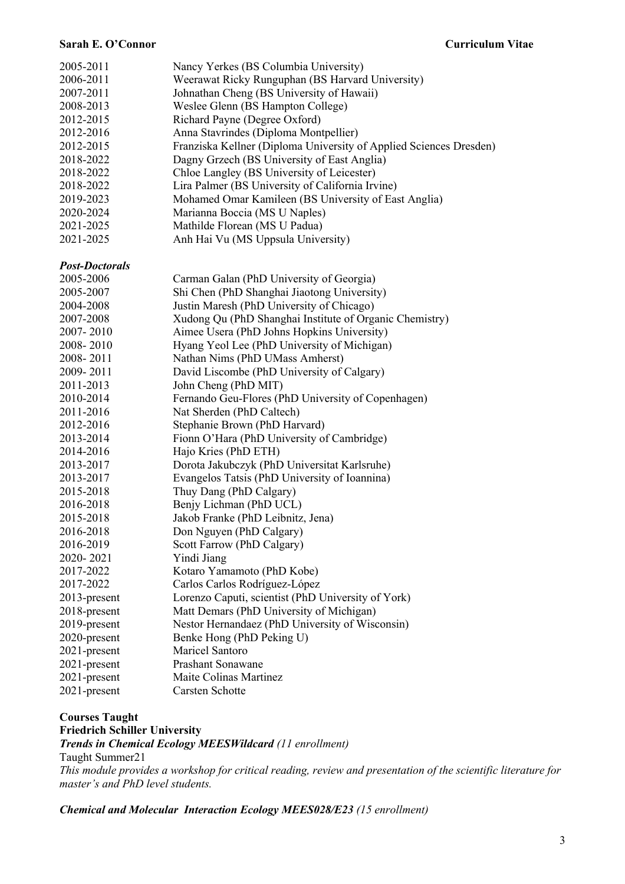#### **Sarah E. O'Connor Curriculum Vitae**

| 2005-2011<br>2006-2011<br>2007-2011<br>2008-2013<br>2012-2015<br>2012-2016<br>2012-2015<br>2018-2022<br>2018-2022<br>2018-2022<br>2019-2023<br>2020-2024<br>2021-2025<br>2021-2025 | Nancy Yerkes (BS Columbia University)<br>Weerawat Ricky Runguphan (BS Harvard University)<br>Johnathan Cheng (BS University of Hawaii)<br>Weslee Glenn (BS Hampton College)<br>Richard Payne (Degree Oxford)<br>Anna Stavrindes (Diploma Montpellier)<br>Franziska Kellner (Diploma University of Applied Sciences Dresden)<br>Dagny Grzech (BS University of East Anglia)<br>Chloe Langley (BS University of Leicester)<br>Lira Palmer (BS University of California Irvine)<br>Mohamed Omar Kamileen (BS University of East Anglia)<br>Marianna Boccia (MS U Naples)<br>Mathilde Florean (MS U Padua)<br>Anh Hai Vu (MS Uppsula University) |
|------------------------------------------------------------------------------------------------------------------------------------------------------------------------------------|----------------------------------------------------------------------------------------------------------------------------------------------------------------------------------------------------------------------------------------------------------------------------------------------------------------------------------------------------------------------------------------------------------------------------------------------------------------------------------------------------------------------------------------------------------------------------------------------------------------------------------------------|
|                                                                                                                                                                                    |                                                                                                                                                                                                                                                                                                                                                                                                                                                                                                                                                                                                                                              |
| <b>Post-Doctorals</b><br>2005-2006                                                                                                                                                 | Carman Galan (PhD University of Georgia)                                                                                                                                                                                                                                                                                                                                                                                                                                                                                                                                                                                                     |
| 2005-2007                                                                                                                                                                          | Shi Chen (PhD Shanghai Jiaotong University)                                                                                                                                                                                                                                                                                                                                                                                                                                                                                                                                                                                                  |
| 2004-2008                                                                                                                                                                          | Justin Maresh (PhD University of Chicago)                                                                                                                                                                                                                                                                                                                                                                                                                                                                                                                                                                                                    |
| 2007-2008                                                                                                                                                                          | Xudong Qu (PhD Shanghai Institute of Organic Chemistry)                                                                                                                                                                                                                                                                                                                                                                                                                                                                                                                                                                                      |
| 2007-2010                                                                                                                                                                          | Aimee Usera (PhD Johns Hopkins University)                                                                                                                                                                                                                                                                                                                                                                                                                                                                                                                                                                                                   |
| 2008-2010                                                                                                                                                                          | Hyang Yeol Lee (PhD University of Michigan)                                                                                                                                                                                                                                                                                                                                                                                                                                                                                                                                                                                                  |
| 2008-2011                                                                                                                                                                          | Nathan Nims (PhD UMass Amherst)                                                                                                                                                                                                                                                                                                                                                                                                                                                                                                                                                                                                              |
| 2009-2011                                                                                                                                                                          | David Liscombe (PhD University of Calgary)                                                                                                                                                                                                                                                                                                                                                                                                                                                                                                                                                                                                   |
| 2011-2013                                                                                                                                                                          | John Cheng (PhD MIT)                                                                                                                                                                                                                                                                                                                                                                                                                                                                                                                                                                                                                         |
| 2010-2014                                                                                                                                                                          | Fernando Geu-Flores (PhD University of Copenhagen)                                                                                                                                                                                                                                                                                                                                                                                                                                                                                                                                                                                           |
| 2011-2016                                                                                                                                                                          | Nat Sherden (PhD Caltech)                                                                                                                                                                                                                                                                                                                                                                                                                                                                                                                                                                                                                    |
| 2012-2016                                                                                                                                                                          | Stephanie Brown (PhD Harvard)                                                                                                                                                                                                                                                                                                                                                                                                                                                                                                                                                                                                                |
| 2013-2014                                                                                                                                                                          | Fionn O'Hara (PhD University of Cambridge)                                                                                                                                                                                                                                                                                                                                                                                                                                                                                                                                                                                                   |
| 2014-2016                                                                                                                                                                          | Hajo Kries (PhD ETH)                                                                                                                                                                                                                                                                                                                                                                                                                                                                                                                                                                                                                         |
| 2013-2017                                                                                                                                                                          | Dorota Jakubczyk (PhD Universitat Karlsruhe)                                                                                                                                                                                                                                                                                                                                                                                                                                                                                                                                                                                                 |
| 2013-2017                                                                                                                                                                          | Evangelos Tatsis (PhD University of Ioannina)                                                                                                                                                                                                                                                                                                                                                                                                                                                                                                                                                                                                |
| 2015-2018                                                                                                                                                                          | Thuy Dang (PhD Calgary)                                                                                                                                                                                                                                                                                                                                                                                                                                                                                                                                                                                                                      |
| 2016-2018                                                                                                                                                                          | Benjy Lichman (PhD UCL)                                                                                                                                                                                                                                                                                                                                                                                                                                                                                                                                                                                                                      |
| 2015-2018                                                                                                                                                                          | Jakob Franke (PhD Leibnitz, Jena)                                                                                                                                                                                                                                                                                                                                                                                                                                                                                                                                                                                                            |
| 2016-2018                                                                                                                                                                          | Don Nguyen (PhD Calgary)                                                                                                                                                                                                                                                                                                                                                                                                                                                                                                                                                                                                                     |
| 2016-2019                                                                                                                                                                          | Scott Farrow (PhD Calgary)                                                                                                                                                                                                                                                                                                                                                                                                                                                                                                                                                                                                                   |
| 2020-2021                                                                                                                                                                          | Yindi Jiang                                                                                                                                                                                                                                                                                                                                                                                                                                                                                                                                                                                                                                  |
| 2017-2022<br>2017-2022                                                                                                                                                             | Kotaro Yamamoto (PhD Kobe)                                                                                                                                                                                                                                                                                                                                                                                                                                                                                                                                                                                                                   |
|                                                                                                                                                                                    | Carlos Carlos Rodríguez-López<br>Lorenzo Caputi, scientist (PhD University of York)                                                                                                                                                                                                                                                                                                                                                                                                                                                                                                                                                          |
| 2013-present<br>2018-present                                                                                                                                                       | Matt Demars (PhD University of Michigan)                                                                                                                                                                                                                                                                                                                                                                                                                                                                                                                                                                                                     |
| 2019-present                                                                                                                                                                       | Nestor Hernandaez (PhD University of Wisconsin)                                                                                                                                                                                                                                                                                                                                                                                                                                                                                                                                                                                              |
| 2020-present                                                                                                                                                                       | Benke Hong (PhD Peking U)                                                                                                                                                                                                                                                                                                                                                                                                                                                                                                                                                                                                                    |
| 2021-present                                                                                                                                                                       | Maricel Santoro                                                                                                                                                                                                                                                                                                                                                                                                                                                                                                                                                                                                                              |
| 2021-present                                                                                                                                                                       | <b>Prashant Sonawane</b>                                                                                                                                                                                                                                                                                                                                                                                                                                                                                                                                                                                                                     |
| 2021-present                                                                                                                                                                       | Maite Colinas Martinez                                                                                                                                                                                                                                                                                                                                                                                                                                                                                                                                                                                                                       |
| 2021-present                                                                                                                                                                       | Carsten Schotte                                                                                                                                                                                                                                                                                                                                                                                                                                                                                                                                                                                                                              |
|                                                                                                                                                                                    |                                                                                                                                                                                                                                                                                                                                                                                                                                                                                                                                                                                                                                              |

#### **Courses Taught**

**Friedrich Schiller University**

*Trends in Chemical Ecology MEESWildcard (11 enrollment)*

Taught Summer21

*This module provides a workshop for critical reading, review and presentation of the scientific literature for master's and PhD level students.*

*Chemical and Molecular Interaction Ecology MEES028/E23 (15 enrollment)*